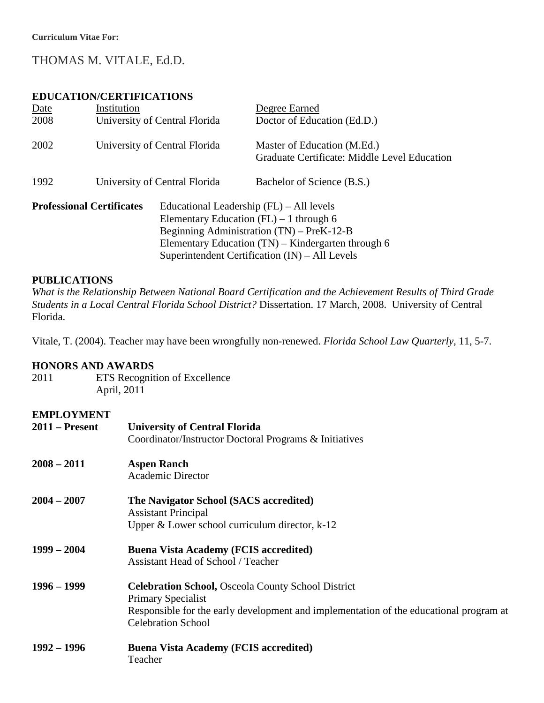# THOMAS M. VITALE, Ed.D.

# **EDUCATION/CERTIFICATIONS**

| Date                             | Institution |                                                                                                                                                                                                                                                | Degree Earned                                                               |
|----------------------------------|-------------|------------------------------------------------------------------------------------------------------------------------------------------------------------------------------------------------------------------------------------------------|-----------------------------------------------------------------------------|
| 2008                             |             | University of Central Florida                                                                                                                                                                                                                  | Doctor of Education (Ed.D.)                                                 |
| 2002                             |             | University of Central Florida                                                                                                                                                                                                                  | Master of Education (M.Ed.)<br>Graduate Certificate: Middle Level Education |
| 1992                             |             | University of Central Florida                                                                                                                                                                                                                  | Bachelor of Science (B.S.)                                                  |
| <b>Professional Certificates</b> |             | Educational Leadership $(FL) - All levels$<br>Elementary Education $(FL) - 1$ through 6<br>Beginning Administration (TN) – PreK-12-B<br>Elementary Education (TN) – Kindergarten through 6<br>Superintendent Certification $(IN) - All Levels$ |                                                                             |

# **PUBLICATIONS**

*What is the Relationship Between National Board Certification and the Achievement Results of Third Grade Students in a Local Central Florida School District?* Dissertation. 17 March, 2008. University of Central Florida.

Vitale, T. (2004). Teacher may have been wrongfully non-renewed. *Florida School Law Quarterly*, 11, 5-7.

# **HONORS AND AWARDS**

2011 ETS Recognition of Excellence April, 2011

# **EMPLOYMENT**

| еки во ништи<br>$2011 -$ Present | <b>University of Central Florida</b><br>Coordinator/Instructor Doctoral Programs & Initiatives                                                                                                                |  |  |
|----------------------------------|---------------------------------------------------------------------------------------------------------------------------------------------------------------------------------------------------------------|--|--|
| $2008 - 2011$                    | <b>Aspen Ranch</b><br><b>Academic Director</b>                                                                                                                                                                |  |  |
| $2004 - 2007$                    | The Navigator School (SACS accredited)<br><b>Assistant Principal</b><br>Upper $\&$ Lower school curriculum director, $k-12$                                                                                   |  |  |
| $1999 - 2004$                    | <b>Buena Vista Academy (FCIS accredited)</b><br><b>Assistant Head of School / Teacher</b>                                                                                                                     |  |  |
| $1996 - 1999$                    | <b>Celebration School, Osceola County School District</b><br><b>Primary Specialist</b><br>Responsible for the early development and implementation of the educational program at<br><b>Celebration School</b> |  |  |
| $1992 - 1996$                    | <b>Buena Vista Academy (FCIS accredited)</b><br>Teacher                                                                                                                                                       |  |  |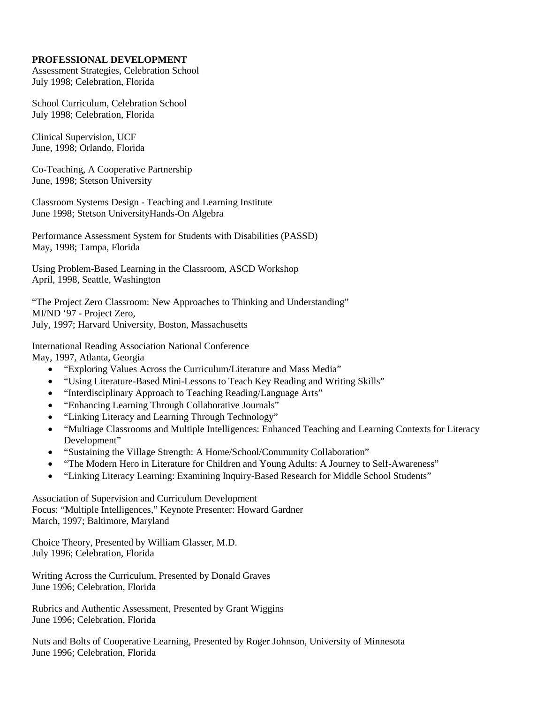## **PROFESSIONAL DEVELOPMENT**

Assessment Strategies, Celebration School July 1998; Celebration, Florida

School Curriculum, Celebration School July 1998; Celebration, Florida

Clinical Supervision, UCF June, 1998; Orlando, Florida

Co-Teaching, A Cooperative Partnership June, 1998; Stetson University

Classroom Systems Design - Teaching and Learning Institute June 1998; Stetson UniversityHands-On Algebra

Performance Assessment System for Students with Disabilities (PASSD) May, 1998; Tampa, Florida

Using Problem-Based Learning in the Classroom, ASCD Workshop April, 1998, Seattle, Washington

"The Project Zero Classroom: New Approaches to Thinking and Understanding" MI/ND '97 - Project Zero, July, 1997; Harvard University, Boston, Massachusetts

International Reading Association National Conference May, 1997, Atlanta, Georgia

- "Exploring Values Across the Curriculum/Literature and Mass Media"
- "Using Literature-Based Mini-Lessons to Teach Key Reading and Writing Skills"
- "Interdisciplinary Approach to Teaching Reading/Language Arts"
- "Enhancing Learning Through Collaborative Journals"
- "Linking Literacy and Learning Through Technology"
- "Multiage Classrooms and Multiple Intelligences: Enhanced Teaching and Learning Contexts for Literacy Development"
- "Sustaining the Village Strength: A Home/School/Community Collaboration"
- "The Modern Hero in Literature for Children and Young Adults: A Journey to Self-Awareness"
- "Linking Literacy Learning: Examining Inquiry-Based Research for Middle School Students"

Association of Supervision and Curriculum Development Focus: "Multiple Intelligences," Keynote Presenter: Howard Gardner March, 1997; Baltimore, Maryland

Choice Theory, Presented by William Glasser, M.D. July 1996; Celebration, Florida

Writing Across the Curriculum, Presented by Donald Graves June 1996; Celebration, Florida

Rubrics and Authentic Assessment, Presented by Grant Wiggins June 1996; Celebration, Florida

Nuts and Bolts of Cooperative Learning, Presented by Roger Johnson, University of Minnesota June 1996; Celebration, Florida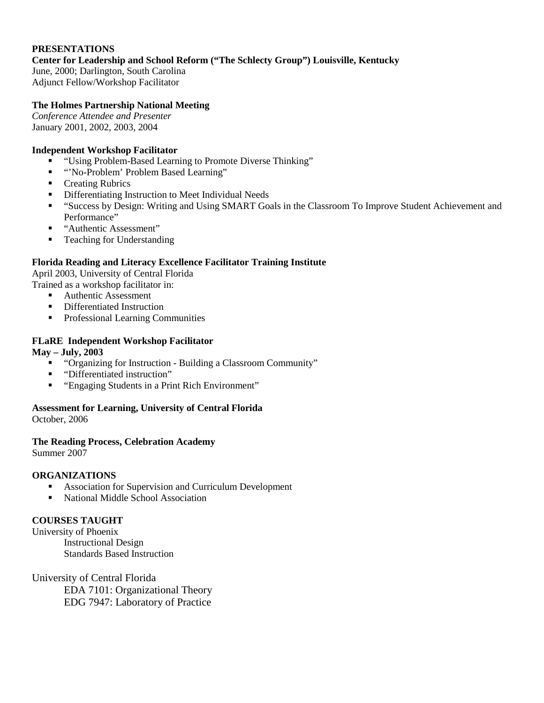## **PRESENTATIONS**

**Center for Leadership and School Reform ("The Schlecty Group") Louisville, Kentucky**

June, 2000; Darlington, South Carolina Adjunct Fellow/Workshop Facilitator

## **The Holmes Partnership National Meeting**

*Conference Attendee and Presenter* January 2001, 2002, 2003, 2004

#### **Independent Workshop Facilitator**

- "Using Problem-Based Learning to Promote Diverse Thinking"
- " "No-Problem' Problem Based Learning"
- **•** Creating Rubrics
- **•** Differentiating Instruction to Meet Individual Needs
- "Success by Design: Writing and Using SMART Goals in the Classroom To Improve Student Achievement and Performance"
- "Authentic Assessment"
- Teaching for Understanding

### **Florida Reading and Literacy Excellence Facilitator Training Institute**

April 2003, University of Central Florida

Trained as a workshop facilitator in:

- Authentic Assessment
- Differentiated Instruction
- **Professional Learning Communities**

### **FLaRE Independent Workshop Facilitator**

#### **May – July, 2003**

- "Organizing for Instruction Building a Classroom Community"
- "Differentiated instruction"
- "Engaging Students in a Print Rich Environment"

# **Assessment for Learning, University of Central Florida**

October, 2006

# **The Reading Process, Celebration Academy**

Summer 2007

#### **ORGANIZATIONS**

- Association for Supervision and Curriculum Development
- National Middle School Association

# **COURSES TAUGHT**

University of Phoenix Instructional Design Standards Based Instruction

University of Central Florida EDA 7101: Organizational Theory EDG 7947: Laboratory of Practice